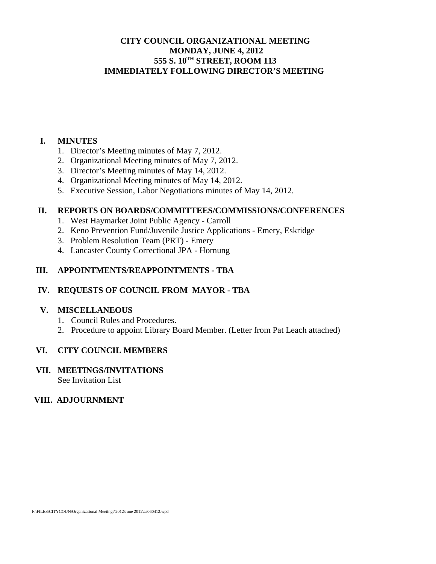# **CITY COUNCIL ORGANIZATIONAL MEETING MONDAY, JUNE 4, 2012 555 S. 10TH STREET, ROOM 113 IMMEDIATELY FOLLOWING DIRECTOR'S MEETING**

### **I. MINUTES**

- 1. Director's Meeting minutes of May 7, 2012.
- 2. Organizational Meeting minutes of May 7, 2012.
- 3. Director's Meeting minutes of May 14, 2012.
- 4. Organizational Meeting minutes of May 14, 2012.
- 5. Executive Session, Labor Negotiations minutes of May 14, 2012.

### **II. REPORTS ON BOARDS/COMMITTEES/COMMISSIONS/CONFERENCES**

- 1. West Haymarket Joint Public Agency Carroll
- 2. Keno Prevention Fund/Juvenile Justice Applications Emery, Eskridge
- 3. Problem Resolution Team (PRT) Emery
- 4. Lancaster County Correctional JPA Hornung

# **III. APPOINTMENTS/REAPPOINTMENTS - TBA**

# **IV. REQUESTS OF COUNCIL FROM MAYOR - TBA**

### **V. MISCELLANEOUS**

- 1. Council Rules and Procedures.
- 2. Procedure to appoint Library Board Member. (Letter from Pat Leach attached)

# **VI. CITY COUNCIL MEMBERS**

#### **VII. MEETINGS/INVITATIONS**  See Invitation List

# **VIII. ADJOURNMENT**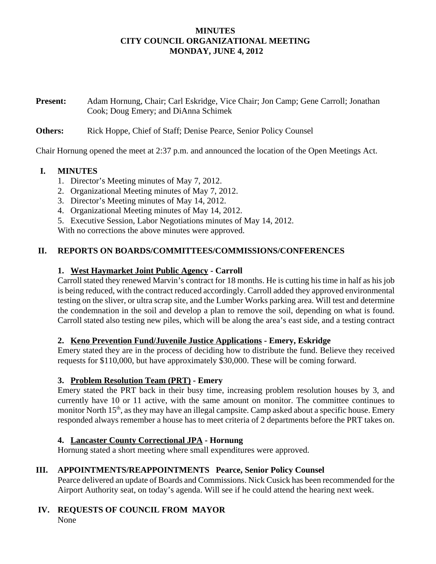## **MINUTES CITY COUNCIL ORGANIZATIONAL MEETING MONDAY, JUNE 4, 2012**

**Present:** Adam Hornung, Chair; Carl Eskridge, Vice Chair; Jon Camp; Gene Carroll; Jonathan Cook; Doug Emery; and DiAnna Schimek

### **Others:** Rick Hoppe, Chief of Staff; Denise Pearce, Senior Policy Counsel

Chair Hornung opened the meet at 2:37 p.m. and announced the location of the Open Meetings Act.

### **I. MINUTES**

- 1. Director's Meeting minutes of May 7, 2012.
- 2. Organizational Meeting minutes of May 7, 2012.
- 3. Director's Meeting minutes of May 14, 2012.
- 4. Organizational Meeting minutes of May 14, 2012.
- 5. Executive Session, Labor Negotiations minutes of May 14, 2012.

With no corrections the above minutes were approved.

### **II. REPORTS ON BOARDS/COMMITTEES/COMMISSIONS/CONFERENCES**

### **1. West Haymarket Joint Public Agency - Carroll**

Carroll stated they renewed Marvin's contract for 18 months. He is cutting his time in half as his job is being reduced, with the contract reduced accordingly. Carroll added they approved environmental testing on the sliver, or ultra scrap site, and the Lumber Works parking area. Will test and determine the condemnation in the soil and develop a plan to remove the soil, depending on what is found. Carroll stated also testing new piles, which will be along the area's east side, and a testing contract

### **2. Keno Prevention Fund/Juvenile Justice Applications - Emery, Eskridge**

Emery stated they are in the process of deciding how to distribute the fund. Believe they received requests for \$110,000, but have approximately \$30,000. These will be coming forward.

### **3. Problem Resolution Team (PRT) - Emery**

Emery stated the PRT back in their busy time, increasing problem resolution houses by 3, and currently have 10 or 11 active, with the same amount on monitor. The committee continues to monitor North 15<sup>th</sup>, as they may have an illegal campsite. Camp asked about a specific house. Emery responded always remember a house has to meet criteria of 2 departments before the PRT takes on.

### **4. Lancaster County Correctional JPA - Hornung**

Hornung stated a short meeting where small expenditures were approved.

# **III. APPOINTMENTS/REAPPOINTMENTS Pearce, Senior Policy Counsel**

Pearce delivered an update of Boards and Commissions. Nick Cusick has been recommended for the Airport Authority seat, on today's agenda. Will see if he could attend the hearing next week.

# **IV. REQUESTS OF COUNCIL FROM MAYOR**

None